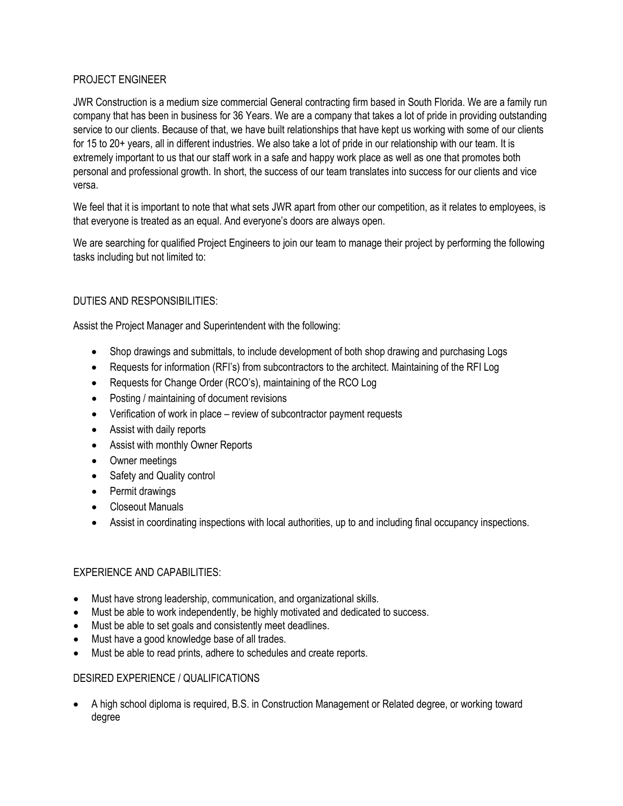## PROJECT ENGINEER

JWR Construction is a medium size commercial General contracting firm based in South Florida. We are a family run company that has been in business for 36 Years. We are a company that takes a lot of pride in providing outstanding service to our clients. Because of that, we have built relationships that have kept us working with some of our clients for 15 to 20+ years, all in different industries. We also take a lot of pride in our relationship with our team. It is extremely important to us that our staff work in a safe and happy work place as well as one that promotes both personal and professional growth. In short, the success of our team translates into success for our clients and vice versa.

We feel that it is important to note that what sets JWR apart from other our competition, as it relates to employees, is that everyone is treated as an equal. And everyone's doors are always open.

We are searching for qualified Project Engineers to join our team to manage their project by performing the following tasks including but not limited to:

## DUTIES AND RESPONSIBILITIES:

Assist the Project Manager and Superintendent with the following:

- Shop drawings and submittals, to include development of both shop drawing and purchasing Logs
- Requests for information (RFI's) from subcontractors to the architect. Maintaining of the RFI Log
- Requests for Change Order (RCO's), maintaining of the RCO Log
- Posting / maintaining of document revisions
- Verification of work in place review of subcontractor payment requests
- Assist with daily reports
- Assist with monthly Owner Reports
- Owner meetings
- Safety and Quality control
- Permit drawings
- Closeout Manuals
- Assist in coordinating inspections with local authorities, up to and including final occupancy inspections.

## EXPERIENCE AND CAPABILITIES:

- Must have strong leadership, communication, and organizational skills.
- Must be able to work independently, be highly motivated and dedicated to success.
- Must be able to set goals and consistently meet deadlines.
- Must have a good knowledge base of all trades.
- Must be able to read prints, adhere to schedules and create reports.

## DESIRED EXPERIENCE / QUALIFICATIONS

• A high school diploma is required, B.S. in Construction Management or Related degree, or working toward degree